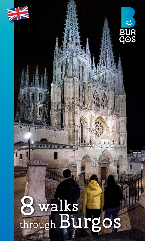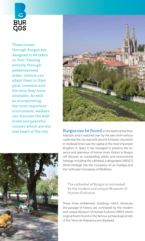

These routes through Burgos are designed to be taken on foot. Passing entirely through pedestrianised areas, visitors can adapt them to their pace, interests and the time they have available. As well as incorporating the most important monuments, walkers can discover the wellloved and peaceful corners which are the





real heart of the city. Burgos can be found on the banks of the River Arlanzón and is watched over by the late ninth-century castle that the city was built around. A historic city, which in medieval times was the capital of the most important kingdom in Spain, it has managed to preserve the essence and splendour of former times. Visitors to Burgos will discover an outstanding artistic and monumental heritage, including the cathedral, a designated UNESCO World Heritage Site; the monastery of Las Huelgas; and the Carthusian monastery of Miraflores.

> The cathedral of Burgos is contrasted by the modern and unique Museum of Human Evolution

These three emblematic buildings, which showcase the passage of history, are contrasted by the modern and unique Museum of Human Evolution (MEH) where original fossils found in the famous archaeological sites of the Sierra de Atapuerca are displayed.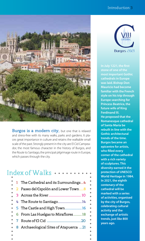#### Introduction 3



Burgos is a modern city, but one that is relaxed and stress-free with its many walks, parks and gardens. It places great importance in culture and retains the walkable small scale of the past. Strongly present in the city are El Cid Campeador, the most famous character in the history of Burgos, and the Route to Santiago, the principal pilgrimage route in Europe, which passes through the city.

## Index of Walks

|           | 1 The Cathedral and its Surroundings4  |
|-----------|----------------------------------------|
| $\bullet$ | 2 Paseo del Espolón and Lower Town8    |
|           |                                        |
| ٠         | 4 The Route to Santiago14              |
| $\bullet$ | 5 The Castle and High Town 16          |
|           | 6 From Las Huelgas to Miraflores18     |
|           |                                        |
| ٠         | 8 Archaeological Sites of Atapuerca 21 |
| ٠         |                                        |



most important Gothic cathedrals in Europe was laid. Bishop Don Mauricio had become familiar with the French style on his trip through Europe searching for Princess Beatrice, the future wife of King Ferdinand III. He proposed that the Romanesque cathedral of Santa María be rebuilt in line with the Gothic architectural trends of the time. Burgos became an epicentre for artists, who filled every corner of the cathedral with a rich variety of sculptures. This diversity earned it the protection of UNESCO World Heritage in 1984. In 2021, the eighth centenary of the cathedral will be marked with a series of activities, organised by the city of Burgos, celebrating cultural activity and the exchange of artistic trends, just like 800 years ago.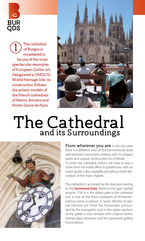

The cathedral of Burgos is considered to be one of the most spectacular examples of European Gothic art. Designated a UNESCO World Heritage Site, its construction follows the artistic models of the French cathedrals of Reims, Amiens and Notre-Dame de Paris. 1



## The Cathedral and its Surroundings



From wherever you are in the old town there is a different view of this harmoniously built, well-restored monument, striking with its elegant spires and unique construction on a hillside. To enter the cathedral, visitors will have to buy a ticket from the ticket office. A guided tour with an audio-guide is also available, providing a brief description of the main chapels.

The cathedral is accessed by the staircase leading to the **Sarmental Gate.** Work on this gate started around 1230. It is the oldest gate in the cathedral and is one of the finest examples of thirteenthcentury stone sculpture in Spain. Worthy of special mention are Christ the Pantocrator surrounded by the evangelists and, in the upper sections of the gable, a rose window with original Gothic stained glass windows and the openwork gallery found above.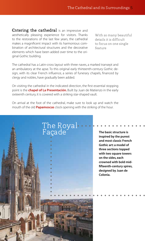Entering the cathedral is an impressive and aesthetically pleasing experience for visitors. Thanks to the restorations of the last few years, the cathedral makes a magnificent impact with its harmonious combination of architectural structures and the decorative elements which have been added over time to the original Gothic building.

With so many beautiful details it is difficult to focus on one single feature

The cathedral has a Latin-cross layout with three naves, a marked transept and an ambulatory at the apse. To this original early thirteenth-century Gothic design, with its clear French influence, a series of funerary chapels, financed by clergy and nobles, have gradually been added.

On visiting the cathedral in the indicated direction, the first essential stopping point is the **chapel of La Presentación.** Built by Juan de Matienzo in the early sixteenth century, it is covered with a striking star-shaped vault.

On arrival at the foot of the cathedral, make sure to look up and watch the mouth of the old **Papamoscas** clock opening with the striking of the hour.



The basic structure is inspired by the purest and most classic French Gothic art: a model of three sections topped with two square towers on the sides, each crowned with bold midfifteenth-century spires, designed by Juan de Colonia.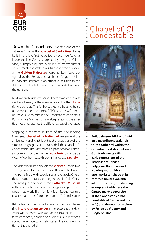

Down the Gospel nave we find one of the cathedral's gems: the **chapel of Santa Ana.** It was built in the late Gothic period by Juan de Colonia. Inside, the late Gothic altarpiece, by the great Gil de Siloé, is simply exquisite. A couple of metres further on we reach the cathedral's transept, where a view of the **Golden Staircase** should not be missed. Designed by the Renaissance architect Diego de Siloé in 1519, the staircase is an attractive solution to the difference in levels between the Coronería Gate and the transept.

Next, we find ourselves being drawn towards the vast, aesthetic beauty of the openwork vault of the **dome**  rising above us. This is the cathedral's beating heart, under which lies the tomb of El Cid and his wife, Jimena. Make sure to admire the Renaissance choir stalls, Roman-style Mannerist main altarpiece, and the artistic grilles that separate the different areas of the naves.

Stopping a moment in front of the spellbinding Mannerist **chapel of la Natividad** we arrive at the ambulatory and what is, without a doubt, one of the structural highlights of the cathedral: the chapel of El Condestable. The visit takes us past notable Renaissance reliefs, sculpted in the **retrochoir** by Felipe de Vigarny. We then leave through the rococo **sacristy.**

The visit continues through the **cloister** – with two stories, adapted to the slope the cathedral is built upon – which is filled with sepulchres and chapels. One of these chapels houses the legendary 'El Cid's Chest'. The next place to visit is the **Cathedral Museum** with its rich collection of sculptures, paintings and precious metalwork. The highlight is a fifteenth-century chalice that comes from the chapel of El Condestable.

Before leaving the cathedral, we can visit an interesting **interpretation centre** in the lower cloister. Here, visitors are provided with a didactic explanation, in the form of models, panels and audio-visual projections, about the architectural, historical and religious evolution of the cathedral.

## Chapel of El **Condestable**



- Built between 1482 and 1494
- on a magnificent scale, it is
- truly a cathedral within the
- cathedral. Its style combines
- Gothic elements with
- early expressions of the
- Renaissance. It has a
- polygonal floor plan and
- a daring vault, with an
- openwork star-shape at its
- centre. It houses valuable
- artistic treasures, outstanding
- examples of which are the
- Carrara marble sepulchre
- $\ddot{\phantom{a}}$ of the Condestables (the
	- Constable of Castile and his
	- wife) and the main altarpiece
	- by Felipe de Vigarny and
	- Diego de Siloé.
-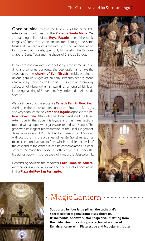**Once outside,** to gain the best view of the cathedral's exterior, we should head to the **Plaza de Santa María.** We are standing in front of the **Royal Façade,** one of the iconic images of European Gothic architecture. Through the Santa María Gate we can access the interior of the cathedral again to discover two chapels, open only for worship: the Baroque chapel of Santa Tecla and the chapel of Cristo de Burgos.

In order to contemplate and photograph the immense building and continue our route, the best option is to take the steps up to the **church of San Nicolás.** Inside, we find a unique gem of Burgos art: an early sixteenth-century stone altarpiece by Francisco de Colonia. It also has an exemplary collection of Hispano-Flemish paintings, among which is an imposing painting of Judgement Day, attributed to Alonso de Sedano.

We continue along the evocative **Calle de Fernán González,** walking in the opposite direction to the Route to Santiago, and very soon reach the **Coronería façade,** opposite the **Palace of Castilfalé.** Although it has been developed to a lesser extent due to the slope, this façade also has three sections topped with an openwork gallery, decorated with statues. The gate, with its elegant representation of the Final Judgement, dates from around 1250. Flanked by mansions emblazoned with coats of arms, the old street of Fernán González leads us to an exceptional viewpoint from which the different levels of the east end of the cathedral can be contemplated. Out of all of them, the magnificent exterior of the chapel of El Condestable stands out with its large coats of arms of the Velasco family.

Descending towards the medieval **Calle Llana de Afuera,**  we then join Calle de la Paloma and find ourselves once again in the **Plaza del Rey San Fernando.**





## Magic Lantern

Supported by four large pillars, the cathedral's spectacular octagonal dome rises above us. Its incredible, openwork, star-shaped vault, dating from the mid-sixteenth century, is a technical wonder of Renaissance art with Plateresque and Mudejar attributes.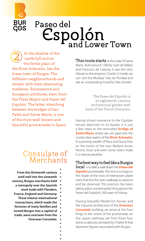

In the shadow of the castle hill and on the fertile plain of the River Arlanzón, lies the lower town of Burgos. The different neighbourhoods and streets, with their alternating medieval, Renaissance and bourgeois attributes, stem from the Plaza Mayor and Paseo del Espolón. The latter, stretching between the bridges of San Pablo and Santa María, is one of the most well-known and beautiful promenades in Spain. 2

**BUR COS** 

### Consulate of **Merchants**

| From the thirteenth century     |  |
|---------------------------------|--|
| until well into the sixteenth   |  |
| century, Burgos merchants held  |  |
| a monopoly over the Spanish     |  |
| wool trade with Flanders.       |  |
| France, England and Germany.    |  |
| These intense international     |  |
| transactions, which made the    |  |
| fortunes of many families and   |  |
| turned Burgos into a capital of |  |
| trade, were overseen from the   |  |
| Overseas Consulate.             |  |
|                                 |  |
|                                 |  |

This route starts at the Gate of Santa María. Built around 1540 by Juan de Vallejo and Francisco de Colonia, it was the city's tribute to the emperor Charles V. Inside, we can visit the Mudejar Sala de Poridad and see an outstanding mural by Vela Zanetti.

> The Paseo del Espolón is an eighteenth-century architectural garden with hints of the French Romantic

Having shown reverence to the Castilian heroes depicted on its façade, it is just a few steps to the renovated **bridge of Santa María** where we can gaze into the crystal-clear waters of the **River Arlanzón.** A surprising wealth of flora and fauna lives on the banks of the river. Mallard ducks, herons, trout and even some otters make it a natural paradise.

#### The best way to feel like a Burgos

local is to take a walk down the **Paseo del Espolón** promenade. The trick is to linger in the shade of the rows of interwoven plane trees that line the main walkway: to observe and be observed. This practice has been taking place uninterrupted throughout the Paseo del Espolón's 200 years of history.

Passing beautiful Modernist houses and the Classical architecture of the **Overseas Consulate** building, we arrive at the Four Kings. In the centre of the promenade, on the upper walkway, we find these four stone sculptures, donated by Charles III that represent figures associated with Burgos.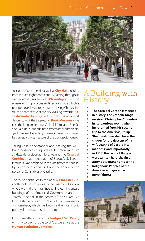

Just opposite, is the Neoclassical **City Hall** building from the late eighteenth century. Passing through its elegant arches we can access **Plaza Mayor.** This large square, with its porticoes and irregular shape, which is presided over by a bronze statue of King Charles III, is still the nerve centre of the city. Walking towards **Plaza de Santo Domingo** – it is worth making a short detour to visit the interesting **Book Museum** – we take the long and narrow Calle del Almirante Bonifaz and Calle de la Moneda. Both streets are filled with elegant, nineteenth-century houses adorned with glazed balconies, a typical feature of the bourgeois houses.

Taking Calle de Santander and passing the wellloved porticoes of Soportales de Antón we arrive at Plaza de la Libertad. Here, we find the **Casa del Cordón,** an authentic gem of Burgos's civil architecture. It was designed in the late fifteenth century by Simón de Colonia and was the abode of the powerful Constables of Castile.

The route continues to the nearby **Plaza del Cid,**  another of the entrances to the Paseo del Espolón, where we find the magnificent nineteenth-century buildings of the Provincial Government and the Teatro Principal. In the centre of the square is a bronze statue by Juan Cristóbal of El Cid Campeador on horseback, which has become the most iconic portrayal of this famous local hero.

From here, after crossing the **bridge of San Pablo,**  which also pays tribute to El Cid, we arrive at the **Human Evolution Complex.**

## A Building with History

- The Casa del Cordón is steeped
- in history. The Catholic Kings
- received Christopher Columbus
- in its luxurious rooms when
- he returned from his second
- $\bullet$ trip to the Americas; Philip I  $\bullet$
- 'the Handsome' died here, the  $\bullet$
- trigger for the descent of his
- wife Joanna of Castile into  $\bullet$
- madness; and importantly,  $\bullet$
- in 1512, the Laws of Burgos
- were written here: the first  $\bullet$
- attempt to grant rights to the  $\bullet$
- Indigenous Peoples of the
- Americas and govern with
- more fairness.

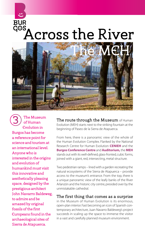# BUR<br>G<sup>OS</sup>Across the River



The Museum of Human Evolution in Burgos has become a reference point for science and tourism at an international level. Anyone who is interested in the origins and evolution of humankind must visit this innovative and aesthetically pleasing space, designed by the prestigious architect John Navarro Baldeweg, to admire and be amazed by original fossils of the first Europeans found in the archaeological sites of Sierra de Atapuerca. 3

The route through the Museum of Human Evolution (MEH) starts next to the striking fountain at the beginning of Paseo de la Sierra de Atapuerca.

From here, there is a panoramic view of the whole of the Human Evolution Complex. Flanked by the National Research Centre for Human Evolution **CENIEH** and the **Burgos Conference Centre** and **Auditorium,** the **MEH** stands out with its well-defined, glass-fronted, cubic forms, joined with a giant, red, intersecting, metal structure.

Two pedestrian ramps – lined with a garden recreating the natural ecosystems of the Sierra de Atapuerca – provide access to the museum's entrance. From the top, there is a unique panoramic view of the leafy banks of the River Arlanzón and the historic city centre, presided over by the unmistakable cathedral.

#### The first thing that comes as a surprise

in the Museum of Human Evolution is its enormous, open-plan interior. Fast becoming an icon of Spanish contemporary architecture, Juan Navarro Baldeweg's project succeeds in scaling up the space to immerse the visitor in a vast and carefully planned museum environment.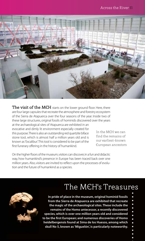

The visit of the MCH starts on the lower ground floor. Here, there are four large capsules that recreate the atmosphere and forestry ecosystem of the Sierra de Atapuerca over the four seasons of the year. Inside two of these large structures, original fossils of hominids discovered over the years at the archaeological sites of Atapuerca are exhibited in an

evocative and dimly lit environment especially created for this purpose. There is also an outstanding red quartzite biface stone tool, which is almost half a million years old and is known as 'Excalibur'. This tool is considered to be part of the first funerary offering in the history of humankind.

In the MEH we can find the remains of our earliest-known European ancestors

On the higher floors of the museum, visitors can discover, in a fun and didactic way, how humankind's presence in Europe has been traced back over one million years. Also, visitors are invited to reflect upon the processes of evolution and the future of humankind as a species.

## The MEH's Treasures



In pride of place in the museum, original hominid fossils from the Sierra de Atapuerca are exhibited that recreate the magic of the archaeological sites. These include the remains of the Homo antecessor, a recently discovered species, which is over one million years old and considered to be the first European; and numerous discoveries of Homo heidelbergensis found at Sima de los Huesos, among which skull No 5, known as 'Miguelón', is particularly noteworthy.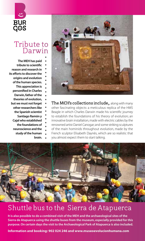

## Tribute to Darwin

The MEH has paid tribute to scientific reason and research in its efforts to discover the origins and evolution of the human species. This appreciation is personified in Charles Darwin, father of the theories of evolution, but we must not forget other researchers like the Spanish scientist Santiago Ramón y Cajal who established the foundations of neuroscience and the study of the human brain.



The MCH's collections include, along with many other fascinating objects: a meticulous replica of the HMS Beagle in which Charles Darwin made his scientific journey to establish the foundations of his theory of evolution; an innovative brain installation, made with electric cables by the renowned artist Daniel Canogar; and some striking sculptures of the main hominids throughout evolution, made by the French sculptor Elisabeth Daynès, which are so realistic that you almost expect them to start talking.



## Shuttle bus to the Sierra de Atapuerca

It is also possible to do a combined visit of the MEH and the archaeological sites of the Sierra de Atapuerca using the shuttle buses from the museum, especially provided for this purpose. On certain days the visit to the Archaeological Park of Atapuerca is also included.

**Information and booking: 902 024 246 and www.museoevolucionhumana.com**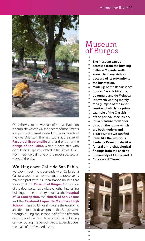

Once the visit to the Museum of Human Evolution is complete, we can walk to a series of monuments and points of interest located on the same side of the River Arlanzón. The first stop is at the start of **Paseo del Espoloncillo** and at the foot of the **bridge of San Pablo,** which is decorated with eight large sculptures related to the life of El Cid. From here we gain one of the most spectacular views of the city.

### Walking down Calle de San Pablo,

we soon meet the crossroads with Calle de la Calera, a street that has managed to preserve its majestic past with its Renaissance houses that today hold the **Museum of Burgos.** On this side of the river we can also discover other interesting buildings in the same style such as the **hospital of La Concepción,** the **church of San Cosme** and the **Cardenal López de Mendoza High School.** These buildings showcase the economic and demographic development that Burgos went through during the second half of the fifteenth century and the first decades of the following century. During this period the city expanded over the plain of the River Arlanzón.

## Museum of Burgos

- 
- The museum can be
- accessed from the bustling
- Calle de Miranda, well-
- known to many visitors
- because of its proximity to
- the bus station.
- Made up of the Renaissance
- houses Casa de Miranda,
- de Angulo and de Melgosa,
- it is worth visiting merely
- for a glimpse of the inner
- courtyard which is a prime
- example of the Classicism
- of the period. Once inside,
- it is a pleasure to wander
- through the rooms which
- are both modern and
- didactic. Here we can find
- items like the luxurious
- Santo de Domingo de Silos
- funeral urn, archaeological
- findings from the ancient
- Roman city of Clunia, and El
- Cid's sword 'Tizona'.
- 

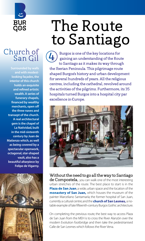

## Church of  $\frac{101}{101}$  San Gil  $\frac{4}{4}$

Surrounded by walls and with modestlooking façades, the interior of this church holds an exquisite and refined artistic wealth. A series of funerary chapels, financed by wealthy merchants, open off the three naves and transept of the church. A real architectural gem is the chapel of La Natividad, built in the mid-sixteenth century by Juan de Matienzo which, as well as being covered by a spectacular openwork, octagonal, star-shaped vault, also has a beautiful altarpiece by Felipe de Vigarny.



## The Route to Santiago

Burgos is one of the key locations for gaining an understanding of the Route to Santiago as it makes its way through the Iberian Peninsula. This pilgrimage route shaped Burgos's history and urban development for several hundreds of years. All the religious centres, including the cathedral, revolved around the activities of the pilgrims. Furthermore, its 35 hospitals turned Burgos into a hospital city par excellence in Europe.



Without the need to go all the way to Santiago de Compostela, you can walk one of the most interesting urban stretches of the route. The best place to start is in the **Plaza de San Juan**, a wide, urban space and the location of the **monastery of San Juan,** which houses the museum of the painter Marceliano Santamaría; the former hospital of San Juan, currently a cultural centre; and the **church of San Lesmes,** a notable example of late fifteenth-century Burgos Gothic architecture.

On completing the previous route, the best way to access Plaza de San Juan from the MEH is to cross the River Alanzón over the modern Evolution footbridge and then take the pedestrianised Calle de San Lesmes which follows the River Vena.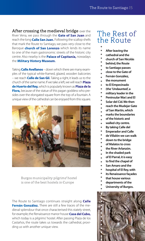After crossing the medieval bridge over the River Vena, we pass through the **Gate of San Juan** and reach the long **Calle San Juan.** Following the scallop shells that mark the Route to Santiago, we pass very close to the Baroque **church of San Lorenzo** which lends its name to one of the main gastronomic streets of the historic city centre. Also nearby is the **Palace of Capitanía,** nowadays the **Military History Museum.**

Taking **Calle Avellanos** – down which there are many examples of the typical white-framed, glazed, wooden balconies – we reach **Calle de San Gil.** Taking a right, it leads us to the church of the same name. If we take a left, we will reach **Plaza de Huerto del Rey,** which is popularly known as **Plaza de la Flora,** because of the statue of this pagan goddess who presides over the elongated square from the top of a fountain. A unique view of the cathedral can be enjoyed from this square.



Burgos municipality pilgrims' hostel is one of the best hostels in Europe

The Route to Santiago continues straight along **Calle Fernán González.** There are still a few traces of the medieval splendour that once characterised this stately street, for example, the Renaissance manor house **Casa del Cubo,** which today is a pilgrims' hostel. After passing Plaza de los Castaños, the route takes us towards the cathedral, providing us with another unique view.

### The Rest of the Route

- - After leaving the
	- cathedral and the
	- church of San Nicolás
	- behind, the Route
	- to Santiago passes
	- close to the Gate of
	- Fernán González,
	- the monument
	- to El Empecinado
	- (the 'Undaunted', a
	- military leader in the
	- Peninsular War) and El
	- Solar del Cid. We then
	- reach the Mudejar Gate
	- of San Martín, which
	- marks the boundaries
	- of the historic and
	- walled city centre.
	- By taking Calle del
	- Emperador and Calle
	- de Villalón we can walk
	- down to the bridge
	- of Malatos to cross
	- the River Arlanzón.
	- In the shaded park
	- of El Parral, it is easy
	- to find the chapel of
	- San Amaro and the
	- hospital of El Rey, with
	- its Renaissance façades
	- that house various
	- departments of the
	- University of Burgos.

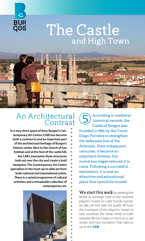

## The Castle and High Town



### An Architectural **Contrast**

In a very short space of time, Burgos's Contemporary Art Centre (CAB) has become both a contrast to and an important part of the architectural heritage of Burgos's historic centre. Next to the church of San Esteban and at the foot of the castle hill, the CAB's innovative three structures look out over the city and create a bold viewpoint. The Contemporary Art Centre specialises in the most up-to-date art from both national and international artists. There is a varied programme of cultural activities and a remarkable collection of contemporary art.



According to medieval historical records, the Castle of Burgos was founded in 884 by the Count Diego Porcelos to strengthen the defensive line of the Arlanzón. Over subsequent centuries, it became an important fortress, but numerous sieges reduced it to ruins. Following a successful restoration, it is now an attractive and educational place that cannot be missed.

We start this walk by retaking the Route to Santiago next to the restored pilgrims' hostel on Calle Fernán González. We can first take the public lift from the courtyard of the pilgrims' hostel to save ourselves the steep climb to Calle Hospital del los Ciegos. In front of us are ramps and two escalators that take us up to the **CAB.**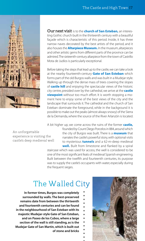

Our next visit is to the **church of San Esteban,** an interesting Gothic church built in the thirteenth century with a beautiful façade which is characteristic of this period. Inside, it has three narrow naves decorated by the best artists of the period, and it also houses the **Altarpiece Museum.** In the museum, altarpieces and other artistic gems from different parts of the province can be admired. The sixteenth-century altarpiece from the town of Castrillo Mota de Judíos is particularly exceptional.

Before taking the steps that lead up to the castle, we can take a look at the nearby fourteenth-century **Gate of San Esteban** which forms part of the old Burgos walls and was built in a Mudejar style. Walking up through the dense mass of trees covering the slopes of **castle hill** and enjoying the spectacular views of the historic city centre, presided over by the cathedral, we arrive at the **castle viewpoint** without too much effort. It is worth stopping a moment here to enjoy some of the best views of the city and the landscape that surrounds it. The cathedral and the church of San Esteban dominate the foreground, while in the background it is possible to make out the peaks (almost always snowy) of the Sierra de la Demanda, where the source of the River Arlanzón is located.

A bit higher up, we come across the ruins of the former **castle,** 

An unforgettable experience is visiting the castle's deep medieval well founded by Count Diego Porcelos in 884, around which the city of Burgos was built. There is a **museum** that narrates the castle's powerful story, with optional visits to mysterious **tunnels** and a 62-m-deep medieval **well.** Built from limestone and flanked by a spiral

staircase which was used for access, the well is considered to be one of the most significant feats of medieval Spanish engineering. Built between the twelfth and fourteenth centuries, its purpose was to supply the castle's occupants with water, especially during the frequent sieges.

## The Walled City

In former times, Burgos was completely surrounded by walls. The best-preserved remains date from between the thirteenth and fourteenth centuries and can be found in the neighbourhood of San Esteban with its majestic Mudejar-style Gate of San Esteban, and on Paseo de los Cubos, where a large section of the wall is still standing, as is the Mudejar Gate of San Martín, which is built out of stone and bricks

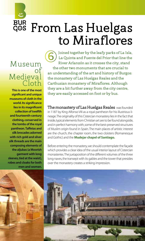## BUR From Las Huelgas to Miraflores

### Museum of Medieval Cloth

This is one of the most significant and unique museums of cloth in the world. Its significance lies in its magnificent collection of twelfth and fourteenth-century clothing, conserved in the tombs of the royal pantheon. Taffetas and silk brocades adorned with rich gold and silver silk threads are the main composing elements of the aljubas (a Moorish garment with long sleeves, tied at the waist), robes and cloaks for both men and women.

Joined together by the leafy parks of La Isla, La Quinta and Fuente del Prior that line the River Arlanzón as it crosses the city, stand the other two monuments that are crucial to an understanding of the art and history of Burgos: the monastery of Las Huelgas Reales and the Carthusian monastery of Miraflores. Although they are a bit further away from the city centre, they are easily accessed on foot or by bus. 6

The monastery of Las Huelgas Reales was founded in 1187 by King Alfonso VIII as a royal pantheon for his illustrious lineage. The originality of this Cistercian monastery lies in the fact that inside, typical elements from Christian art are to be found alongside, and in perfect harmony with, some of the best-preserved structures of Muslim origin found in Spain. The main places of artistic interest are the church, the chapter room, the two cloisters (Romanesque and Gothic) and the **Mudejar chapel of Santiago.**

Before entering the monastery, we should contemplate the façade which provides a clear idea of the usual interior layout of Cistercian monasteries. The juxtaposition of the different volumes of the three long naves, the transept with its gables and the tower that presides over the monastery creates a striking impression.

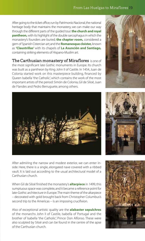#### From Las Huelgas to Miraflores 19

After going to the ticket office, run by Patrimonio Nacional, the national heritage body that maintains the monastery, we can make our way through the different parts of the guided tour: **the church and royal pantheon,** with its highlight of the double sarcophagus in which the monastery's founders are buried; **the chapter room,** considered a gem of Spanish Cistercian art; and the **Romanesque cloister,** known as **'Claustrillas'** with its chapels of **La Asunción and Santiago,** containing striking elements of Hispano-Muslim art.

The Carthusian monastery of Miraflores is one of the most significant late Gothic monuments in Europe. Its church was built as a pantheon by King John II of Castile. In 1454, Juan de Colonia started work on this masterpiece building, financed by Queen Isabella 'the Catholic', which contains the work of the most important artists of the period: Simón de Colonia, Gil de Siloé, Juan de Flandes and Pedro Berruguete, among others.





After admiring the narrow and modest exterior, we can enter inside. Here, there is a single, elongated nave covered with a ribbed vault. It is laid out according to the usual architectural model of a Carthusian church.

When Gil de Siloé finished the monastery's **altarpiece** in 1499, this sumptuous space was complete, and it became a reference point for late-Gothic architecture in Europe. The main theme of the altarpiece – decorated with gold brought back from Christopher Columbus's second trip to the Americas – is an imposing crucifixion.

Also of exceptional artistic quality are the **alabaster sepulchres**  of the monarchs John II of Castile, Isabella of Portugal and the brother of Isabella 'the Catholic', Prince Don Alfonso. These were also sculpted by Siloé and can be found in the centre of the apse of the Carthusian church.



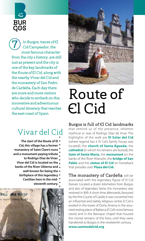

In Burgos, traces of El Cid Campeador, the most famous character from the city's history, are still just as present and the city is one of the key landmarks of the Route of El Cid, along with the nearby Vivar del Cid and the monastery of San Pedro de Cardeña. Each day there are more and more visitors who decide to embark on this innovative and adventurous cultural itinerary that reaches the east coast of Spain. 7

## Vivar del Cid

- The start of the Route of El Cid, this village has a former monastery of Saint Clare's nuns and a monument paying tribute to Rodrigo Díaz de Vivar.
	- Vivar del Cid is located on the banks of the River Ubierna and
		- - well-known for being the
		- birthplace of this legendary .
			- Castilian hero in the mid
				- eleventh century.





## Route of El Cid

#### Burgos is full of El Cid landmarks

that remind us of the presence, whether mythical or real, of Rodrigo Díaz de Vivar. The highlights of the walk are **El Solar del Cid** (where legend has it El Cid's family house was located), the **church of Santa Águeda,** the **cathedral** (in which his remains are buried), the **Gate of Santa María,** the **monument** on the banks of the River Arlanzón, the **bridge of San Pablo** and the **statue of El Cid** on horseback that presides over **Plaza del Cid.**

The monastery of Cardeña will be associated with the legendary figure of El Cid forever. Located a dozen kilometres from Burgos and also of legendary fame, the monastery was restored in 899. A short time afterwards, favoured by the first Counts of Castile, it was converted into an influential and stately religious centre. El Cid is evoked in the tower of Doña Jimena; in the assumed resting place of Babieca, El Cid's most famous steed; and in the Baroque chapel that housed the mortal remains of the hero, until they were transferred to Burgos in the nineteenth century.

**www.caminodelcid.org**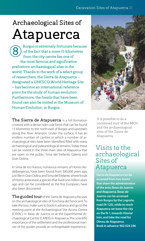## Atapuerca Archaeological Sites of

Burgos is extremely fortunate because of the fact that a mere 15 kilometres from the city centre lies one of the most famous and significative prehistoric archaeological sites in the world. Thanks to the work of a select group of researchers, the Sierra de Atapuerca – designated a UNESCO World Heritage Site – has become an international reference point for the study of human evolution. Furthermore, the fossils that have been found can also be visited in the Museum of Human Evolution, in Burgos. 8

The Sierra de Atapuerca is a hill formation covered with a dense holm oak forest that can be found 15 kilometres to the north-east of Burgos and upstream along the River Arlanzón. Under the surface, it has an endless number of cavities in which a number of archaeological sites have been identified, filled with many archaeological and paleontological remains. Today these can be visited in the three main sites of Atapuerca that are open to the public: Sima del Elefante, Galería and Gran Dolina.

In Sima de los Huesos, numerous remains of Homo Heidelbergensis, have been found, from 500,000 years ago, just like in Gran Dolina and Sima del Elefante, where fossils of Homo antecessor, a species that lived one million years ago and can be considered as the first European, have also been discovered.

The guided tour of the Sierra de Atapuerca focuses on the archaeological sites of Trinchera del Ferrocarril. To take the tour, make sure to book in advance and go to the meeting point at the Archaeological Site Access Centre (CAYAC) in Ibeas de Juarros, or at the Experimental Archaeological Centre (CAREX) in Atapuerca. The scientific importance of the settlement and the professional manner of the guides provide an unforgettable experience.



It is possible to do a combined visit of the MEH and the archaeological sites of the Sierra de Atapuerca

### Visits to the archaeological Sites of Atapuerca

Sierra de Atapuerca can be accessed from two towns that share the administration of the area: Ibeas de Juarros and Atapuerca. Ibeas de Juarros can be accessed from Burgos by the Logroño road (N-120), while to reach Atapuerca we leave the city on the N-1, towards Vitoria/ Irún, and take the road for Olmos de Atapuerca. Book in advance: 902 024 246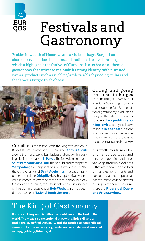

## Festivals and Gastronomy

Besides its wealth of historical and artistic heritage, Burgos has also conserved its local customs and traditional festivals, among which a highlight is the festival of Curpillos. It also has an authentic gastronomy that strives to maintain its strong identity, with nurtured natural products such as suckling lamb, rice black pudding, pulses and the famous Burgos fresh cheese.



**Curpillos** is the festival with the longest tradition in Burgos. It is celebrated on the Friday after **Corpus Christi** around the monastery of Las Huelgas and ends with a bustling picnic in the park of **El Parral.** The festivals in honour of **Saint Peter and Saint Paul,** the popular and participative **'Sampedros',** are a highlight of Burgos festive culture. Also, there is the festival of **Saint Adelelmus,** the patron saint of the city and the **Obispillo** (boy-bishop) festival, when a child is chosen to wear the robes of the bishop for a day. Moreover, each spring, the city streets echo with sounds of the solemn processions of **Holy Week,** which has been declared to be of **National Tourist Interest.**

Eating and going for tapas in Burgos is a must. It is hard to find a regional Spanish gastronomy that is quite so faithful to traditional gastronomy products as Burgos. The city's restaurants serve up **black pudding, suckling lamb** and a typical stew called **'olla podrida',** but there is also a new signature cuisine that reinterprets these classic recipes with a touch of creativity.

It is worth mentioning the original Burgos tapas and pinchos – genuine and innovative gastronomic delights – that are stocked on the bars of many establishments and consumed at the popular tapas festival which is celebrated during 'Sampedros'. To drink, there are **Ribera del Duero and Arlanza wines.**

## The King of Gastronomy

Burgos suckling lamb is without a doubt among the best in the world. The meat is so exceptional that, with a little skill and a traditional oven fired with oak wood, the result is an unparalleled sensation for the senses: juicy, tender and aromatic meat wrapped in a crispy, golden, glistening skin.

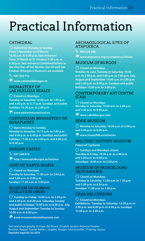## Practical Information

### CATHEDRAL

 $\bigcirc$  Open from Monday to Sunday. From 1 November to 18 March: 10.00 a.m. to 6.00 p.m. (last entrance) From 19 March to 31 October: 9.30 a.m. to 6.30 p.m. (last entrance) Combined tickets to the churches of San Nicolás, San Gil and San Esteban (Altarpiece Museum) are available

 $\%$  947 204 712

♁ www.catedraldeburgos.es

#### MONASTERY OF LAS HUELGAS REALES

⌚ Closed on Mondays. Tuesday to Saturday: 10.00 a.m. to 1.00 p.m. and 4.00 p.m. to 5.15 p.m. Sundays and public holidays: 10.30 a.m. to 2.00 p.m.

♁ www.patrimonionacional.es

#### CARTHUSIAN MONASTERY OF MIRAFLORES

**Open Monday to Sunday.** 

Monday to Saturday: 10.15 a.m. to 3.00 p.m. and 4.00 p.m. to 6.00 p.m. Sundays and public holidays: 11.00 a.m. to 3.00 p.m. and 4.00 p.m. to 6.00 p.m.

#### BURGOS CASTLE

 $\%$  947 288 874

 $\bigcirc$  http://www.aytoburgos.es/turismo

#### GATE OF SANTA MARÍA

⌚ Closed on Mondays. Tuesday to Saturday: 11.00 a.m. to 2.00 p.m. and 5.00 p.m. to 9.00 p.m. Sundays: 11.00 a.m. to 2.00 p.m.

#### MUSEUM OF HUMAN EVOLUTION (MEH)

 $\bigcirc$  Tuesday to Friday: 10.00 a.m. to 2.30 p.m. and 4.30 p.m. to 8.00 p.m. Saturday, Sunday and public holidays: 10.00 a.m. to 8.00 p.m. July, August and September: Tuesday to Sunday: 10.00 a.m. to 8.00 p.m.

♁ www.museoevolucionhumana.com

#### ARCHAEOLOGICAL SITES OF **ATAPUERCA**

 $\%$  902 024 246

 $\bigcirc$  www.atapuerca.org/es/atapuerca/Visitas

#### MUSEUM OF BURGOS

⌚ Closed on Mondays.

October to June: Tuesday to Saturday: 10.00 a.m. to 2.00 p.m. and 4.00 p.m. to 7.00 p.m. July, August and September: 10.00 a.m. to 2.00 p.m. and 5.00 p.m. to 8.00 p.m. Sundays and public holidays: 10.00 a.m. to 2.00 p.m.

#### CONTEMPORARY ART CENTRE  $(CAR)$

 $\bigcirc$  Closed on Mondays $\cdot$ Monday to Saturday: 10.00 a.m. to 2.00 p.m. and 4.30 p.m. to 8.00 p.m.

♁ www.cabdeburgos.com

#### BOOK MUSEUM

 $\bigodot$  Monday to Saturday: 10.00 a.m. to 2.00 p.m. and 4.30 p.m. to 8.00 p.m.

♁ www.museofdb.es/elmuseo

#### MILITARY HISTORY MUSEUM Palace of Capitanía

⌚ Sundays and Mondays: closed Tuesday to Friday: 10.00 a.m. to 2.00 p.m. and 5.00 p.m. to 8.00 p.m. Saturdays: 10.00 a.m. to 2.00 p.m.

#### MUSEUM OF MARCELIANO SANTAMARÍA

⌚ Closed on Mondays. Tuesday to Saturday: 11.00 a.m. to 1.50 p.m. and 5.00 p.m. to 8.50 p.m. Sundays: 11.00 a.m. to 1.50 p.m.

#### CASA DEL CORDÓN

⌚ Closed on Mondays. Exhibitions: Tuesday to Saturday: 12.00 p.m. to 2.00 p.m. and 6.00 p.m. to 9.00 p.m. Sundays: 12.00 p.m. to 2.00 p.m.

Text and photography: Enrique del Rivero | English version: Rebecca Stoakes Revision: Raquel Puente Robles | Graphic Design: Julia Gründler | Printing: Santos Depósito legal: BU 20-2019